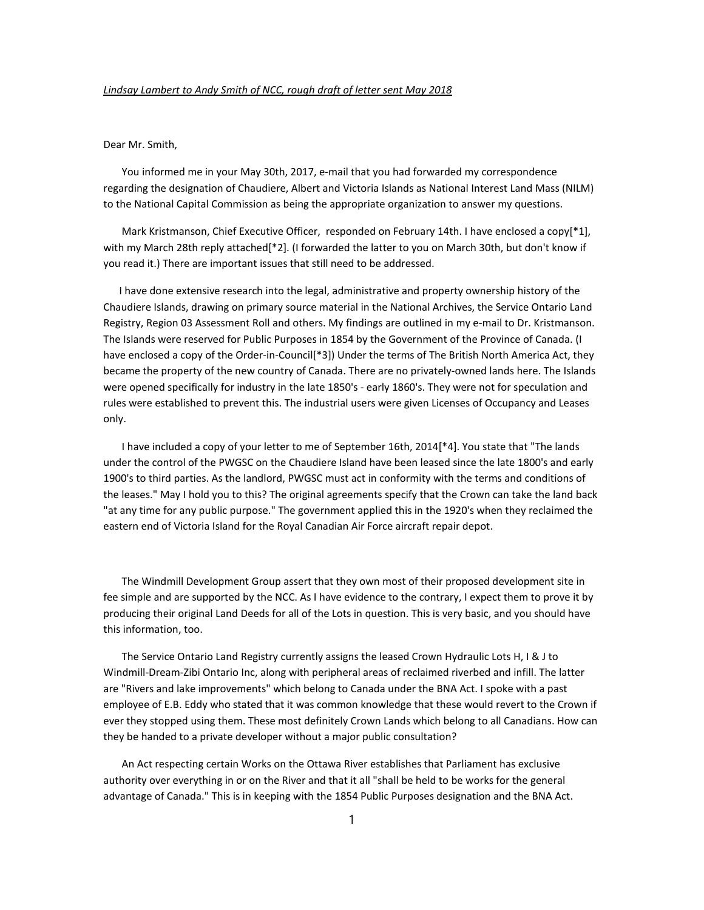## Dear Mr. Smith,

 You informed me in your May 30th, 2017, e-mail that you had forwarded my correspondence regarding the designation of Chaudiere, Albert and Victoria Islands as National Interest Land Mass (NILM) to the National Capital Commission as being the appropriate organization to answer my questions.

Mark Kristmanson, Chief Executive Officer, responded on February 14th. I have enclosed a copy[\*1], with my March 28th reply attached[\*2]. (I forwarded the latter to you on March 30th, but don't know if you read it.) There are important issues that still need to be addressed.

I have done extensive research into the legal, administrative and property ownership history of the Chaudiere Islands, drawing on primary source material in the National Archives, the Service Ontario Land Registry, Region 03 Assessment Roll and others. My findings are outlined in my e-mail to Dr. Kristmanson. The Islands were reserved for Public Purposes in 1854 by the Government of the Province of Canada. (I have enclosed a copy of the Order-in-Council[\*3]) Under the terms of The British North America Act, they became the property of the new country of Canada. There are no privately-owned lands here. The Islands were opened specifically for industry in the late 1850's - early 1860's. They were not for speculation and rules were established to prevent this. The industrial users were given Licenses of Occupancy and Leases only.

I have included a copy of your letter to me of September 16th, 2014[\*4]. You state that "The lands under the control of the PWGSC on the Chaudiere Island have been leased since the late 1800's and early 1900's to third parties. As the landlord, PWGSC must act in conformity with the terms and conditions of the leases." May I hold you to this? The original agreements specify that the Crown can take the land back "at any time for any public purpose." The government applied this in the 1920's when they reclaimed the eastern end of Victoria Island for the Royal Canadian Air Force aircraft repair depot.

 The Windmill Development Group assert that they own most of their proposed development site in fee simple and are supported by the NCC. As I have evidence to the contrary, I expect them to prove it by producing their original Land Deeds for all of the Lots in question. This is very basic, and you should have this information, too.

 The Service Ontario Land Registry currently assigns the leased Crown Hydraulic Lots H, I & J to Windmill-Dream-Zibi Ontario Inc, along with peripheral areas of reclaimed riverbed and infill. The latter are "Rivers and lake improvements" which belong to Canada under the BNA Act. I spoke with a past employee of E.B. Eddy who stated that it was common knowledge that these would revert to the Crown if ever they stopped using them. These most definitely Crown Lands which belong to all Canadians. How can they be handed to a private developer without a major public consultation?

 An Act respecting certain Works on the Ottawa River establishes that Parliament has exclusive authority over everything in or on the River and that it all "shall be held to be works for the general advantage of Canada." This is in keeping with the 1854 Public Purposes designation and the BNA Act.